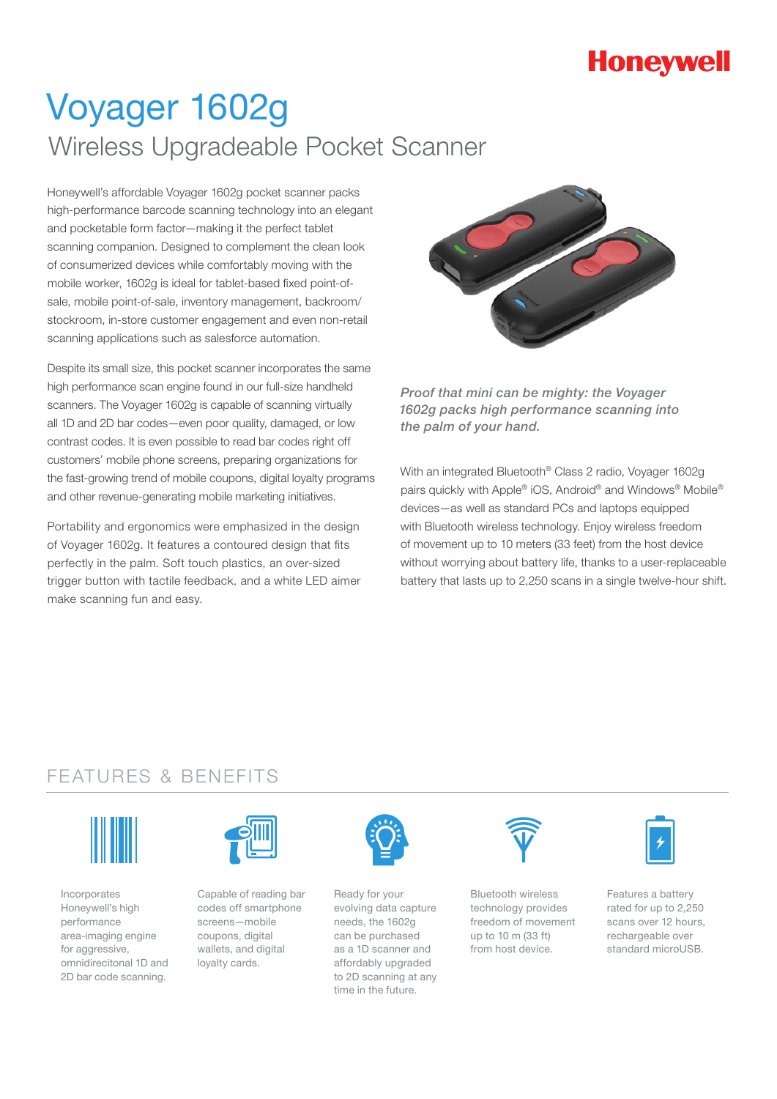## **Honeywell**

# Voyager 1602g Wireless Upgradeable Pocket Scanner

Honeywell's affordable Voyager 1602g pocket scanner packs high-performance barcode scanning technology into an elegant and pocketable form factor—making it the perfect tablet scanning companion. Designed to complement the clean look of consumerized devices while comfortably moving with the mobile worker, 1602g is ideal for tablet-based fixed point-ofsale, mobile point-of-sale, inventory management, backroom/ stockroom, in-store customer engagement and even non-retail scanning applications such as salesforce automation.

Despite its small size, this pocket scanner incorporates the same high performance scan engine found in our full-size handheld scanners. The Voyager 1602g is capable of scanning virtually all 1D and 2D bar codes—even poor quality, damaged, or low contrast codes. It is even possible to read bar codes right off customers' mobile phone screens, preparing organizations for the fast-growing trend of mobile coupons, digital loyalty programs and other revenue-generating mobile marketing initiatives.

Portability and ergonomics were emphasized in the design of Voyager 1602g. It features a contoured design that fits perfectly in the palm. Soft touch plastics, an over-sized trigger button with tactile feedback, and a white LED aimer make scanning fun and easy.



*Proof that mini can be mighty: the Voyager 1602g packs high performance scanning into the palm of your hand.* 

With an integrated Bluetooth® Class 2 radio, Voyager 1602g pairs quickly with Apple® iOS, Android® and Windows® Mobile® devices—as well as standard PCs and laptops equipped with Bluetooth wireless technology. Enjoy wireless freedom of movement up to 10 meters (33 feet) from the host device without worrying about battery life, thanks to a user-replaceable battery that lasts up to 2,250 scans in a single twelve-hour shift.

### FEATURES & BENEFITS



Incorporates Honeywell's high performance area-imaging engine for aggressive. omnidirecitonal 1D and 2D bar code scanning.



Capable of reading bar codes off smartphone screens—mobile coupons, digital wallets, and digital loyalty cards.



Ready for your evolving data capture needs, the 1602g can be purchased as a 1D scanner and affordably upgraded to 2D scanning at any time in the future.



Bluetooth wireless technology provides freedom of movement up to 10 m (33 ft) from host device.



Features a battery rated for up to 2,250 scans over 12 hours, rechargeable over standard microUSB.